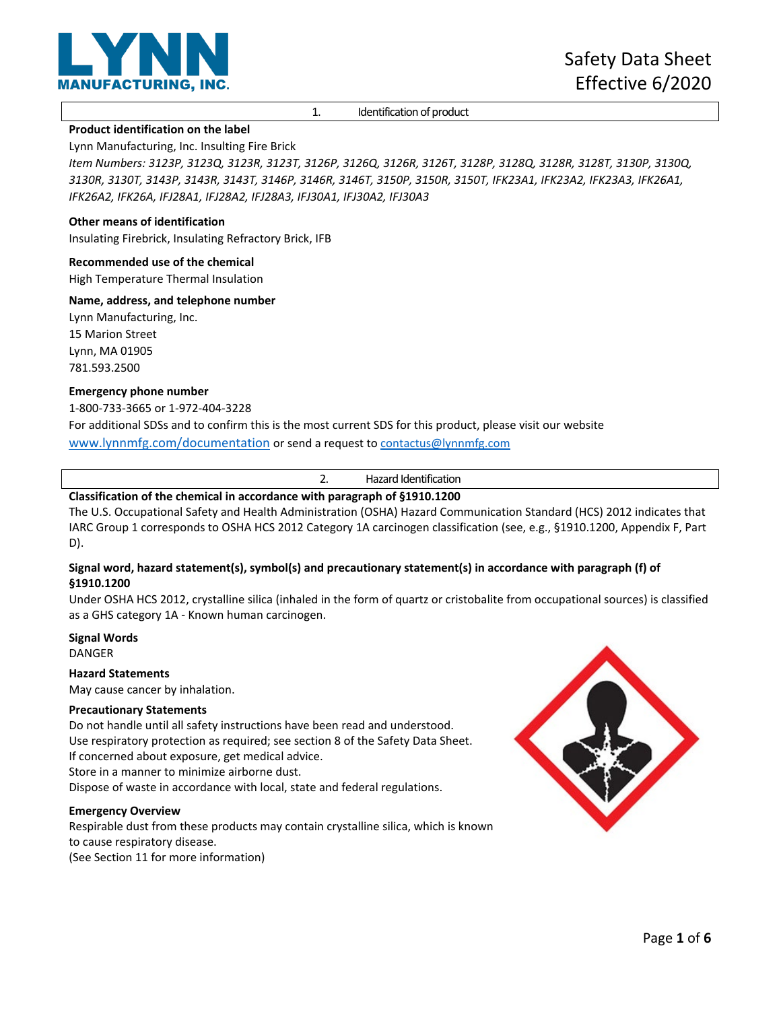

1. Identification of product

## **Product identification on the label**

Lynn Manufacturing, Inc. Insulting Fire Brick

*Item Numbers: 3123P, 3123Q, 3123R, 3123T, 3126P, 3126Q, 3126R, 3126T, 3128P, 3128Q, 3128R, 3128T, 3130P, 3130Q, 3130R, 3130T, 3143P, 3143R, 3143T, 3146P, 3146R, 3146T, 3150P, 3150R, 3150T, IFK23A1, IFK23A2, IFK23A3, IFK26A1, IFK26A2, IFK26A, IFJ28A1, IFJ28A2, IFJ28A3, IFJ30A1, IFJ30A2, IFJ30A3*

## **Other means of identification**

Insulating Firebrick, Insulating Refractory Brick, IFB

#### **Recommended use of the chemical**

High Temperature Thermal Insulation

#### **Name, address, and telephone number**

Lynn Manufacturing, Inc. 15 Marion Street Lynn, MA 01905 781.593.2500

#### **Emergency phone number**

1-800-733-3665 or 1-972-404-3228

For additional SDSs and to confirm this is the most current SDS for this product, please visit our website [www.lynnmfg.com/documentation](http://www.lynnmfg.com/documentation) or send a request t[o contactus@lynnmfg.com](mailto:contactus@lynnmfg.com)

2. Hazard Identification

# **Classification of the chemical in accordance with paragraph of §1910.1200**

The U.S. Occupational Safety and Health Administration (OSHA) Hazard Communication Standard (HCS) 2012 indicates that IARC Group 1 corresponds to OSHA HCS 2012 Category 1A carcinogen classification (see, e.g., §1910.1200, Appendix F, Part D).

## **Signal word, hazard statement(s), symbol(s) and precautionary statement(s) in accordance with paragraph (f) of §1910.1200**

Under OSHA HCS 2012, crystalline silica (inhaled in the form of quartz or cristobalite from occupational sources) is classified as a GHS category 1A - Known human carcinogen.

# **Signal Words**

DANGER

## **Hazard Statements**

May cause cancer by inhalation.

## **Precautionary Statements**

Do not handle until all safety instructions have been read and understood. Use respiratory protection as required; see section 8 of the Safety Data Sheet. If concerned about exposure, get medical advice. Store in a manner to minimize airborne dust. Dispose of waste in accordance with local, state and federal regulations.

#### **Emergency Overview**

Respirable dust from these products may contain crystalline silica, which is known to cause respiratory disease. (See Section 11 for more information)

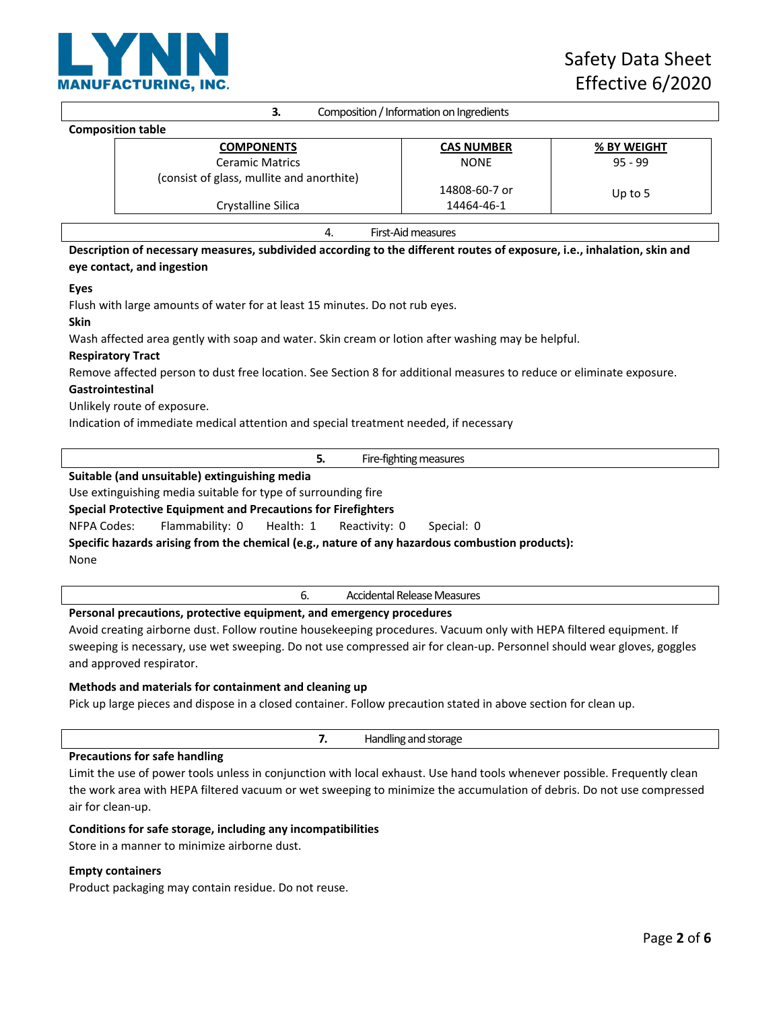

| 3.                                                                                                                      | Composition / Information on Ingredients |             |
|-------------------------------------------------------------------------------------------------------------------------|------------------------------------------|-------------|
| <b>Composition table</b>                                                                                                |                                          |             |
| <b>COMPONENTS</b>                                                                                                       | <b>CAS NUMBER</b>                        | % BY WEIGHT |
| <b>Ceramic Matrics</b>                                                                                                  | <b>NONE</b>                              | $95 - 99$   |
| (consist of glass, mullite and anorthite)                                                                               |                                          |             |
|                                                                                                                         | 14808-60-7 or                            | Up to $5$   |
| Crystalline Silica                                                                                                      | 14464-46-1                               |             |
|                                                                                                                         |                                          |             |
| 4.                                                                                                                      | First-Aid measures                       |             |
| Description of necessary measures, subdivided according to the different routes of exposure, i.e., inhalation, skin and |                                          |             |

# **Description of necessary measures, subdivided according to the different routes of exposure, i.e., inhalation, skin and eye contact, and ingestion**

#### **Eyes**

Flush with large amounts of water for at least 15 minutes. Do not rub eyes.

# **Skin**

Wash affected area gently with soap and water. Skin cream or lotion after washing may be helpful.

## **Respiratory Tract**

Remove affected person to dust free location. See Section 8 for additional measures to reduce or eliminate exposure.

## **Gastrointestinal**

Unlikely route of exposure.

Indication of immediate medical attention and special treatment needed, if necessary

|                                                                     |  | Fire-fighting measures |
|---------------------------------------------------------------------|--|------------------------|
| المزام ممسوما والمتسوء بالمستقيم الملاما والمتقادم وبالمسار والملمر |  |                        |

# **Suitable (and unsuitable) extinguishing media**

Use extinguishing media suitable for type of surrounding fire

# **Special Protective Equipment and Precautions for Firefighters**

NFPA Codes: Flammability: 0 Health: 1 Reactivity: 0 Special: 0

**Specific hazards arising from the chemical (e.g., nature of any hazardous combustion products):**  None

6. Accidental Release Measures

## **Personal precautions, protective equipment, and emergency procedures**

Avoid creating airborne dust. Follow routine housekeeping procedures. Vacuum only with HEPA filtered equipment. If sweeping is necessary, use wet sweeping. Do not use compressed air for clean-up. Personnel should wear gloves, goggles and approved respirator.

## **Methods and materials for containment and cleaning up**

Pick up large pieces and dispose in a closed container. Follow precaution stated in above section for clean up.

# **Precautions for safe handling**

Limit the use of power tools unless in conjunction with local exhaust. Use hand tools whenever possible. Frequently clean the work area with HEPA filtered vacuum or wet sweeping to minimize the accumulation of debris. Do not use compressed air for clean-up.

## **Conditions for safe storage, including any incompatibilities**

Store in a manner to minimize airborne dust.

## **Empty containers**

Product packaging may contain residue. Do not reuse.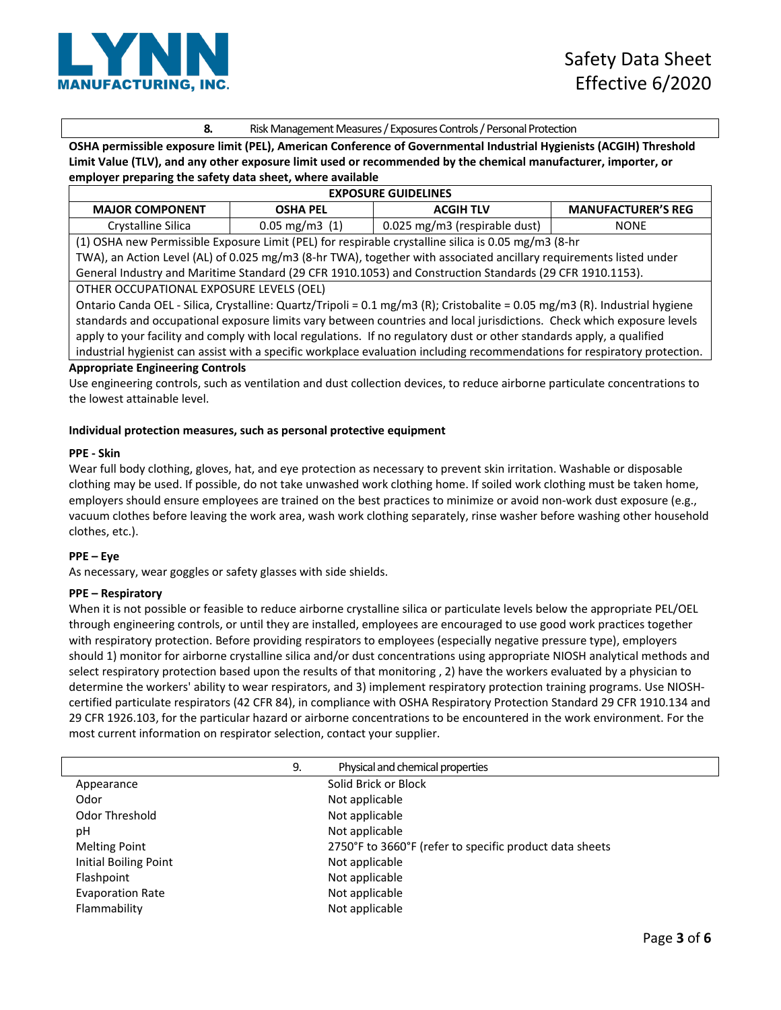

# **8.** Risk Management Measures / Exposures Controls / Personal Protection

**OSHA permissible exposure limit (PEL), American Conference of Governmental Industrial Hygienists (ACGIH) Threshold Limit Value (TLV), and any other exposure limit used or recommended by the chemical manufacturer, importer, or employer preparing the safety data sheet, where available**

| <b>EXPOSURE GUIDELINES</b>                                                                                                 |                          |                               |                           |
|----------------------------------------------------------------------------------------------------------------------------|--------------------------|-------------------------------|---------------------------|
| <b>MAJOR COMPONENT</b>                                                                                                     | <b>OSHA PEL</b>          | <b>ACGIH TLV</b>              | <b>MANUFACTURER'S REG</b> |
| Crystalline Silica                                                                                                         | $0.05 \text{ mg/m}3$ (1) | 0.025 mg/m3 (respirable dust) | <b>NONE</b>               |
| (1) OSHA new Permissible Exposure Limit (PEL) for respirable crystalline silica is 0.05 mg/m3 (8-hr                        |                          |                               |                           |
| TWA), an Action Level (AL) of 0.025 mg/m3 (8-hr TWA), together with associated ancillary requirements listed under         |                          |                               |                           |
| General Industry and Maritime Standard (29 CFR 1910.1053) and Construction Standards (29 CFR 1910.1153).                   |                          |                               |                           |
| OTHER OCCUPATIONAL EXPOSURE LEVELS (OEL)                                                                                   |                          |                               |                           |
| Ontario Canda OEL - Silica, Crystalline: Quartz/Tripoli = 0.1 mg/m3 (R); Cristobalite = 0.05 mg/m3 (R). Industrial hygiene |                          |                               |                           |
| standards and occupational exposure limits vary between countries and local jurisdictions. Check which exposure levels     |                          |                               |                           |
| probably to your focility and comply with local requirement on requirement or other standards angly a qualified            |                          |                               |                           |

apply to your facility and comply with local regulations. If no regulatory dust or other standards apply, a qualified industrial hygienist can assist with a specific workplace evaluation including recommendations for respiratory protection.

#### **Appropriate Engineering Controls**

Use engineering controls, such as ventilation and dust collection devices, to reduce airborne particulate concentrations to the lowest attainable level.

## **Individual protection measures, such as personal protective equipment**

#### **PPE - Skin**

Wear full body clothing, gloves, hat, and eye protection as necessary to prevent skin irritation. Washable or disposable clothing may be used. If possible, do not take unwashed work clothing home. If soiled work clothing must be taken home, employers should ensure employees are trained on the best practices to minimize or avoid non-work dust exposure (e.g., vacuum clothes before leaving the work area, wash work clothing separately, rinse washer before washing other household clothes, etc.).

## **PPE – Eye**

As necessary, wear goggles or safety glasses with side shields.

## **PPE – Respiratory**

When it is not possible or feasible to reduce airborne crystalline silica or particulate levels below the appropriate PEL/OEL through engineering controls, or until they are installed, employees are encouraged to use good work practices together with respiratory protection. Before providing respirators to employees (especially negative pressure type), employers should 1) monitor for airborne crystalline silica and/or dust concentrations using appropriate NIOSH analytical methods and select respiratory protection based upon the results of that monitoring , 2) have the workers evaluated by a physician to determine the workers' ability to wear respirators, and 3) implement respiratory protection training programs. Use NIOSHcertified particulate respirators (42 CFR 84), in compliance with OSHA Respiratory Protection Standard 29 CFR 1910.134 and 29 CFR 1926.103, for the particular hazard or airborne concentrations to be encountered in the work environment. For the most current information on respirator selection, contact your supplier.

|                         | 9. | Physical and chemical properties                        |
|-------------------------|----|---------------------------------------------------------|
| Appearance              |    | Solid Brick or Block                                    |
| Odor                    |    | Not applicable                                          |
| Odor Threshold          |    | Not applicable                                          |
| рH                      |    | Not applicable                                          |
| <b>Melting Point</b>    |    | 2750°F to 3660°F (refer to specific product data sheets |
| Initial Boiling Point   |    | Not applicable                                          |
| Flashpoint              |    | Not applicable                                          |
| <b>Evaporation Rate</b> |    | Not applicable                                          |
| Flammability            |    | Not applicable                                          |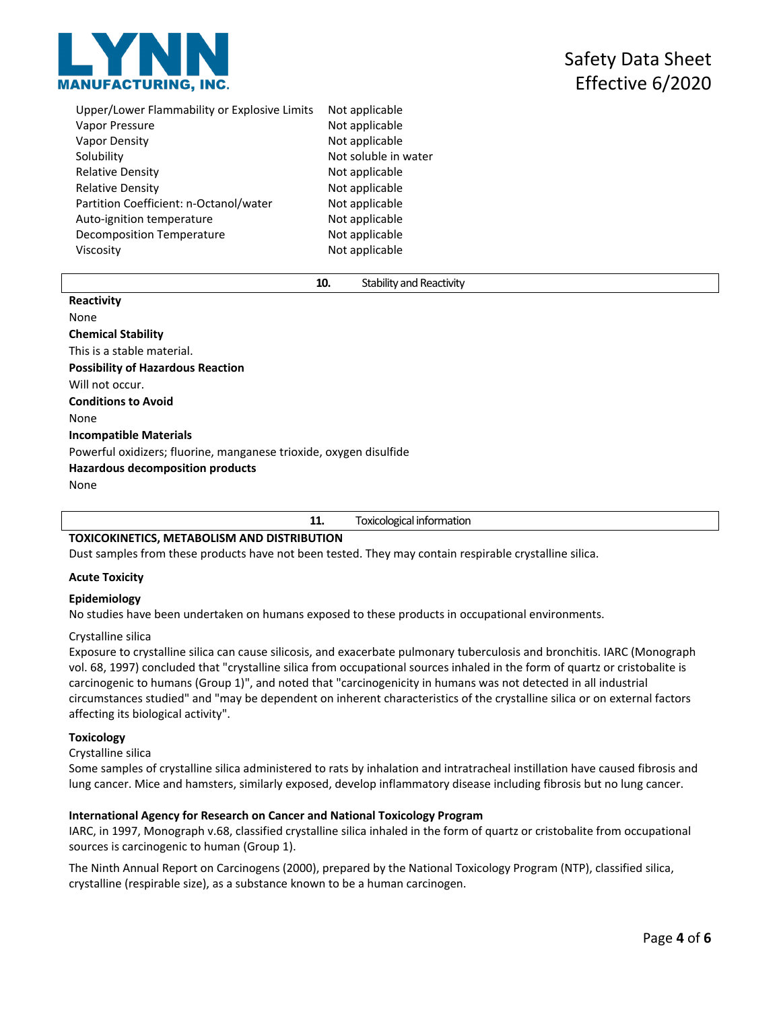

| Upper/Lower Flammability or Explosive Limits | Not applicable       |
|----------------------------------------------|----------------------|
| Vapor Pressure                               | Not applicable       |
| Vapor Density                                | Not applicable       |
| Solubility                                   | Not soluble in water |
| <b>Relative Density</b>                      | Not applicable       |
| <b>Relative Density</b>                      | Not applicable       |
| Partition Coefficient: n-Octanol/water       | Not applicable       |
| Auto-ignition temperature                    | Not applicable       |
| <b>Decomposition Temperature</b>             | Not applicable       |
| Viscosity                                    | Not applicable       |

#### **10.** Stability and Reactivity

#### **Reactivity**

None **Chemical Stability** This is a stable material. **Possibility of Hazardous Reaction** Will not occur. **Conditions to Avoid** None **Incompatible Materials** Powerful oxidizers; fluorine, manganese trioxide, oxygen disulfide **Hazardous decomposition products** None

#### **11.** Toxicological information

#### **TOXICOKINETICS, METABOLISM AND DISTRIBUTION**

Dust samples from these products have not been tested. They may contain respirable crystalline silica.

#### **Acute Toxicity**

#### **Epidemiology**

No studies have been undertaken on humans exposed to these products in occupational environments.

#### Crystalline silica

Exposure to crystalline silica can cause silicosis, and exacerbate pulmonary tuberculosis and bronchitis. IARC (Monograph vol. 68, 1997) concluded that "crystalline silica from occupational sources inhaled in the form of quartz or cristobalite is carcinogenic to humans (Group 1)", and noted that "carcinogenicity in humans was not detected in all industrial circumstances studied" and "may be dependent on inherent characteristics of the crystalline silica or on external factors affecting its biological activity".

#### **Toxicology**

Crystalline silica

Some samples of crystalline silica administered to rats by inhalation and intratracheal instillation have caused fibrosis and lung cancer. Mice and hamsters, similarly exposed, develop inflammatory disease including fibrosis but no lung cancer.

## **International Agency for Research on Cancer and National Toxicology Program**

IARC, in 1997, Monograph v.68, classified crystalline silica inhaled in the form of quartz or cristobalite from occupational sources is carcinogenic to human (Group 1).

The Ninth Annual Report on Carcinogens (2000), prepared by the National Toxicology Program (NTP), classified silica, crystalline (respirable size), as a substance known to be a human carcinogen.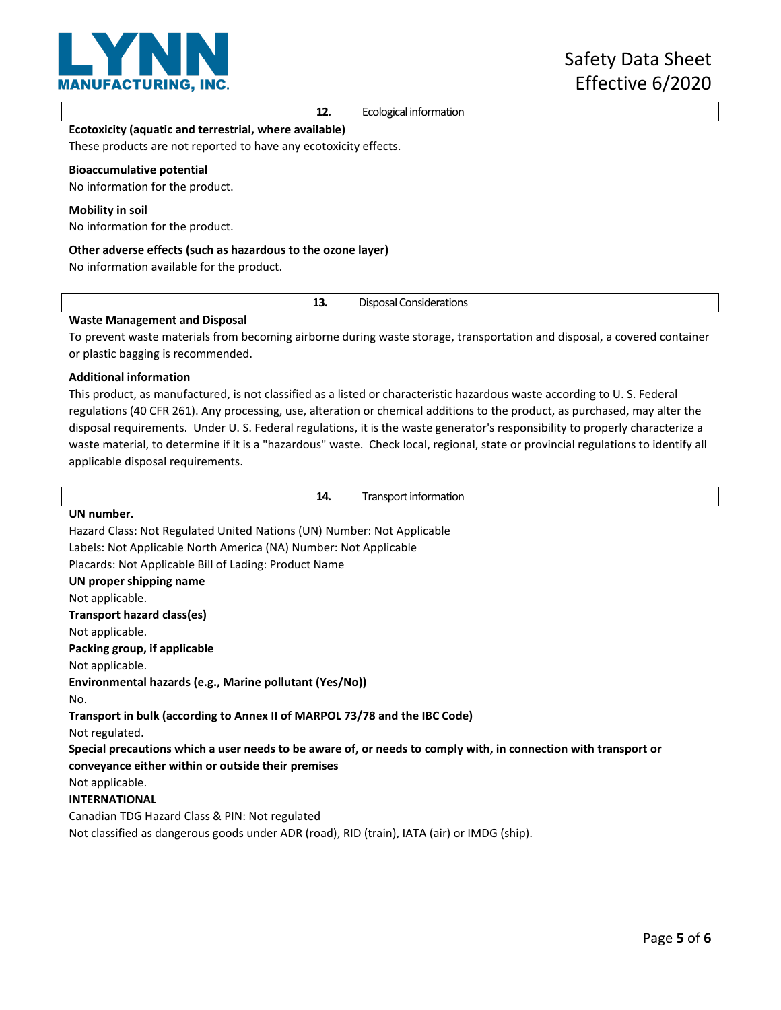

**12.** Ecological information

# **Ecotoxicity (aquatic and terrestrial, where available)**

These products are not reported to have any ecotoxicity effects.

#### **Bioaccumulative potential**

No information for the product.

#### **Mobility in soil**

No information for the product.

#### **Other adverse effects (such as hazardous to the ozone layer)**

No information available for the product.

**13.** Disposal Considerations

## **Waste Management and Disposal**

To prevent waste materials from becoming airborne during waste storage, transportation and disposal, a covered container or plastic bagging is recommended.

## **Additional information**

This product, as manufactured, is not classified as a listed or characteristic hazardous waste according to U. S. Federal regulations (40 CFR 261). Any processing, use, alteration or chemical additions to the product, as purchased, may alter the disposal requirements. Under U. S. Federal regulations, it is the waste generator's responsibility to properly characterize a waste material, to determine if it is a "hazardous" waste. Check local, regional, state or provincial regulations to identify all applicable disposal requirements.

| 14.<br>Transport information                                                                                    |  |  |
|-----------------------------------------------------------------------------------------------------------------|--|--|
| UN number.                                                                                                      |  |  |
| Hazard Class: Not Regulated United Nations (UN) Number: Not Applicable                                          |  |  |
| Labels: Not Applicable North America (NA) Number: Not Applicable                                                |  |  |
| Placards: Not Applicable Bill of Lading: Product Name                                                           |  |  |
| UN proper shipping name                                                                                         |  |  |
| Not applicable.                                                                                                 |  |  |
| Transport hazard class(es)                                                                                      |  |  |
| Not applicable.                                                                                                 |  |  |
| Packing group, if applicable                                                                                    |  |  |
| Not applicable.                                                                                                 |  |  |
| Environmental hazards (e.g., Marine pollutant (Yes/No))                                                         |  |  |
| No.                                                                                                             |  |  |
| Transport in bulk (according to Annex II of MARPOL 73/78 and the IBC Code)                                      |  |  |
| Not regulated.                                                                                                  |  |  |
| Special precautions which a user needs to be aware of, or needs to comply with, in connection with transport or |  |  |
| conveyance either within or outside their premises                                                              |  |  |
| Not applicable.                                                                                                 |  |  |
| <b>INTERNATIONAL</b>                                                                                            |  |  |
| Canadian TDG Hazard Class & PIN: Not regulated                                                                  |  |  |
| Not classified as dangerous goods under ADR (road), RID (train), IATA (air) or IMDG (ship).                     |  |  |